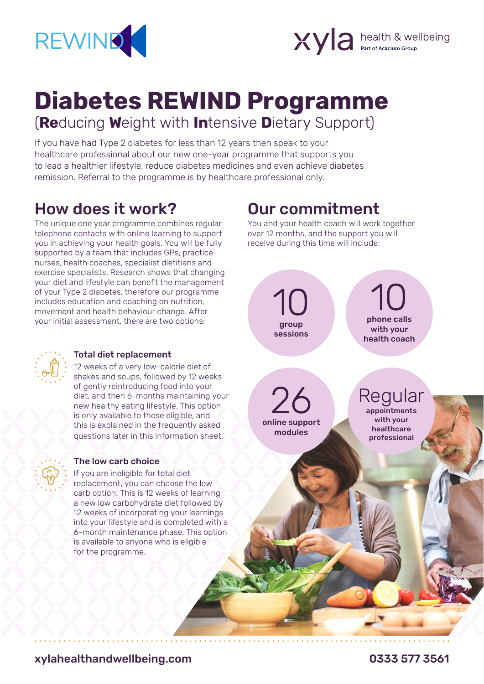



# **Diabetes REWIND Programme** (**Re**ducing **W**eight with **In**tensive **D**ietary Support)

If you have had Type 2 diabetes for less than 12 years then speak to your healthcare professional about our new one-year programme that supports you to lead a healthier lifestyle, reduce diabetes medicines and even achieve diabetes remission. Referral to the programme is by healthcare professional only.

### How does it work?

The unique one year programme combines regular telephone contacts with online learning to support you in achieving your health goals. You will be fully supported by a team that includes GPs, practice nurses, health coaches, specialist dietitians and exercise specialists. Research shows that changing your diet and lifestyle can benefit the management of your Type 2 diabetes, therefore our programme includes education and coaching on nutrition, movement and health behaviour change. After your initial assessment, there are two options:

### Our commitment

You and your health coach will work together over 12 months, and the support you will receive during this time will include:





#### Total diet replacement

12 weeks of a very low-calorie diet of shakes and soups, followed by 12 weeks of gently reintroducing food into your diet, and then 6-months maintaining your new healthy eating lifestyle. This option is only available to those eligible, and this is explained in the frequently asked questions later in this information sheet.



#### The low carb choice

If you are ineligible for total diet replacement, you can choose the low carb option. This is 12 weeks of learning a new low carbohydrate diet followed by 12 weeks of incorporating your learnings into your lifestyle and is completed with a 6-month maintenance phase. This option is available to anyone who is eligible for the programme.

xylahealthandwellbeing.com 0333 577 3561